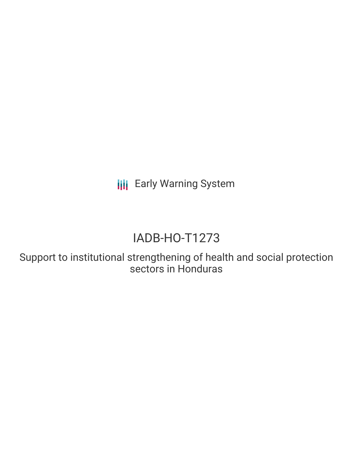**III** Early Warning System

# IADB-HO-T1273

Support to institutional strengthening of health and social protection sectors in Honduras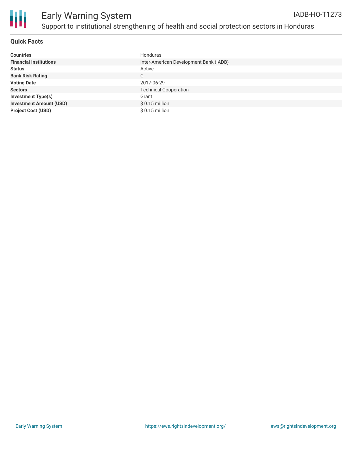

#### **Quick Facts**

| <b>Countries</b>               | Honduras                               |
|--------------------------------|----------------------------------------|
| <b>Financial Institutions</b>  | Inter-American Development Bank (IADB) |
| <b>Status</b>                  | Active                                 |
| <b>Bank Risk Rating</b>        | C                                      |
| <b>Voting Date</b>             | 2017-06-29                             |
| <b>Sectors</b>                 | <b>Technical Cooperation</b>           |
| <b>Investment Type(s)</b>      | Grant                                  |
| <b>Investment Amount (USD)</b> | $$0.15$ million                        |
| <b>Project Cost (USD)</b>      | $$0.15$ million                        |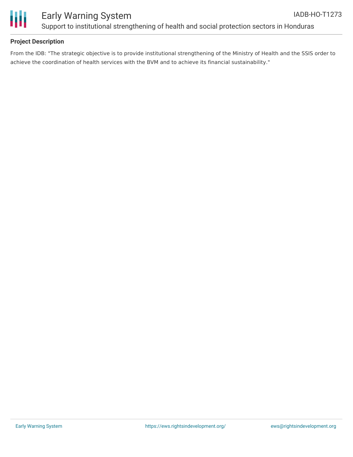



## Early Warning System Support to institutional strengthening of health and social protection sectors in Honduras

#### **Project Description**

From the IDB: "The strategic objective is to provide institutional strengthening of the Ministry of Health and the SSIS order to achieve the coordination of health services with the BVM and to achieve its financial sustainability."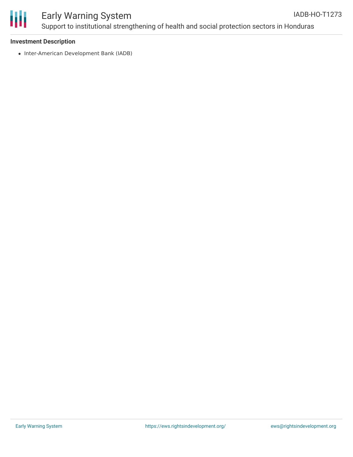

#### Early Warning System Support to institutional strengthening of health and social protection sectors in Honduras IADB-HO-T1273

#### **Investment Description**

• Inter-American Development Bank (IADB)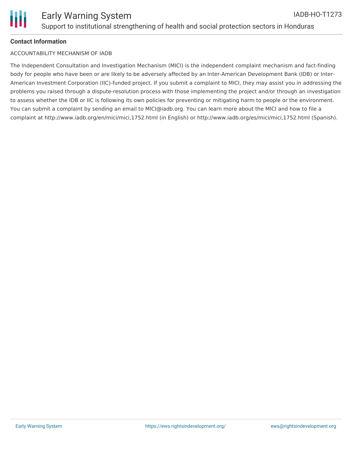## **Contact Information**

### ACCOUNTABILITY MECHANISM OF IADB

The Independent Consultation and Investigation Mechanism (MICI) is the independent complaint mechanism and fact-finding body for people who have been or are likely to be adversely affected by an Inter-American Development Bank (IDB) or Inter-American Investment Corporation (IIC)-funded project. If you submit a complaint to MICI, they may assist you in addressing the problems you raised through a dispute-resolution process with those implementing the project and/or through an investigation to assess whether the IDB or IIC is following its own policies for preventing or mitigating harm to people or the environment. You can submit a complaint by sending an email to MICI@iadb.org. You can learn more about the MICI and how to file a complaint at http://www.iadb.org/en/mici/mici,1752.html (in English) or http://www.iadb.org/es/mici/mici,1752.html (Spanish).